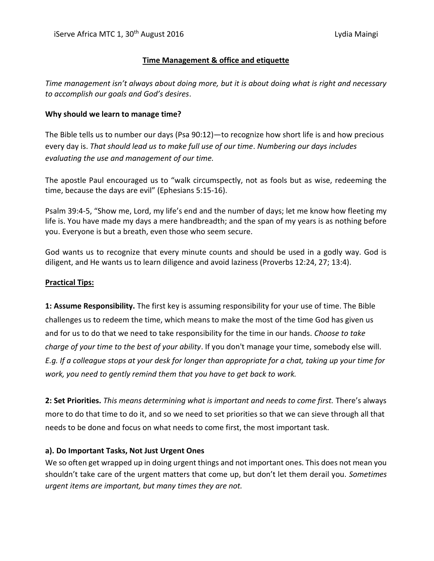## **Time Management & office and etiquette**

*Time management isn't always about doing more, but it is about doing what is right and necessary to accomplish our goals and God's desires*.

## **Why should we learn to manage time?**

The Bible tells us to number our days (Psa 90:12)—to recognize how short life is and how precious every day is. *That should lead us to make full use of our time*. *Numbering our days includes evaluating the use and management of our time.*

The apostle Paul encouraged us to "walk circumspectly, not as fools but as wise, redeeming the time, because the days are evil" (Ephesians 5:15-16).

Psalm 39:4-5, "Show me, Lord, my life's end and the number of days; let me know how fleeting my life is. You have made my days a mere handbreadth; and the span of my years is as nothing before you. Everyone is but a breath, even those who seem secure.

God wants us to recognize that every minute counts and should be used in a godly way. God is diligent, and He wants us to learn diligence and avoid laziness (Proverbs 12:24, 27; 13:4).

#### **Practical Tips:**

**1: Assume Responsibility.** The first key is assuming responsibility for your use of time. The Bible challenges us to redeem the time, which means to make the most of the time God has given us and for us to do that we need to take responsibility for the time in our hands. *Choose to take charge of your time to the best of your ability*. If you don't manage your time, somebody else will. *E.g. If a colleague stops at your desk for longer than appropriate for a chat, taking up your time for work, you need to gently remind them that you have to get back to work.* 

**2: Set Priorities.** *This means determining what is important and needs to come first.* There's always more to do that time to do it, and so we need to set priorities so that we can sieve through all that needs to be done and focus on what needs to come first, the most important task.

#### **a). Do Important Tasks, Not Just Urgent Ones**

We so often get wrapped up in doing urgent things and not important ones. This does not mean you shouldn't take care of the urgent matters that come up, but don't let them derail you. *Sometimes urgent items are important, but many times they are not.*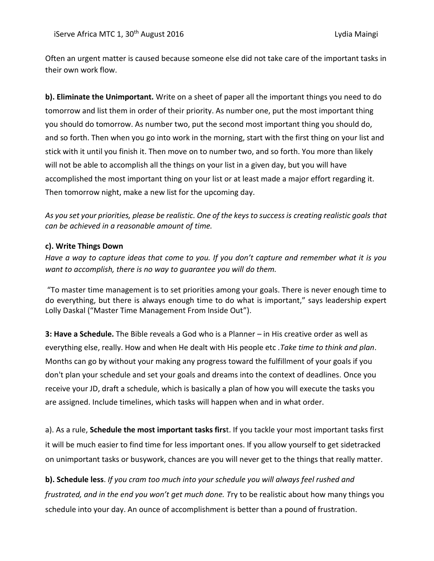Often an urgent matter is caused because someone else did not take care of the important tasks in their own work flow.

**b). Eliminate the Unimportant.** Write on a sheet of paper all the important things you need to do tomorrow and list them in order of their priority. As number one, put the most important thing you should do tomorrow. As number two, put the second most important thing you should do, and so forth. Then when you go into work in the morning, start with the first thing on your list and stick with it until you finish it. Then move on to number two, and so forth. You more than likely will not be able to accomplish all the things on your list in a given day, but you will have accomplished the most important thing on your list or at least made a major effort regarding it. Then tomorrow night, make a new list for the upcoming day.

*As you set your priorities, please be realistic. One of the keys to success is [creating realistic goals](http://advancedlifeskills.com/blog/goal-setting-or-wishful-thinking/) that can be achieved in a reasonable amount of time.*

#### **c). Write Things Down**

*Have a way to capture ideas that come to you. If you don't capture and remember what it is you want to accomplish, there is no way to guarantee you will do them.*

"To master time management is to set priorities among your goals. There is never enough time to do everything, but there is always enough time to do what is important," says leadership expert Lolly Daskal ("[Master Time Management From Inside Out](http://www.lollydaskal.com/leadership/master-time-management-from-inside-out/)").

**3: Have a Schedule.** The Bible reveals a God who is a Planner – in His creative order as well as everything else, really. How and when He dealt with His people etc *.Take time to think and plan*. Months can go by without your making any progress toward the fulfillment of your goals if you don't plan your schedule and set your goals and dreams into the context of deadlines. Once you receive your JD, draft a schedule, which is basically a plan of how you will execute the tasks you are assigned. Include timelines, which tasks will happen when and in what order.

a). As a rule, **Schedule the most important tasks firs**t. If you tackle your most important tasks first it will be much easier to find time for less important ones. If you allow yourself to get sidetracked on unimportant tasks or busywork, chances are you will never get to the things that really matter.

**b). Schedule less**. *If you cram too much into your schedule you will always feel rushed and frustrated, and in the end you won't get much done. T*ry to be realistic about how many things you schedule into your day. An ounce of accomplishment is better than a pound of frustration.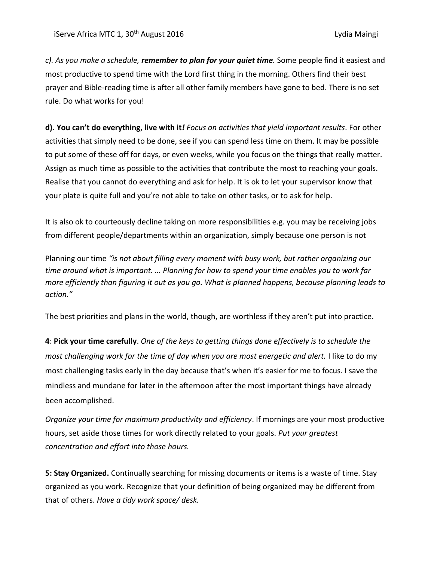*c). As you make a schedule, remember to plan for your quiet time.* Some people find it easiest and most productive to spend time with the Lord first thing in the morning. Others find their best prayer and Bible-reading time is after all other family members have gone to bed. There is no set rule. Do what works for you!

**d). You can't do everything, live with it***! Focus on activities that yield important results*. For other activities that simply need to be done, see if you can spend less time on them. It may be possible to put some of these off for days, or even weeks, while you focus on the things that really matter. Assign as much time as possible to the activities that contribute the most to reaching your goals. Realise that you cannot do everything and ask for help. It is ok to let your supervisor know that your plate is quite full and you're not able to take on other tasks, or to ask for help.

It is also ok to courteously decline taking on more responsibilities e.g. you may be receiving jobs from different people/departments within an organization, simply because one person is not

Planning our time *"is not about filling every moment with busy work, but rather organizing our time around what is important. … Planning for how to spend your time enables you to work far more efficiently than figuring it out as you go. What is planned happens, because planning leads to action."*

The best priorities and plans in the world, though, are worthless if they aren't put into practice.

**4**: **Pick your time carefully**. *One of the keys to getting things done effectively is to schedule the most challenging work for the time of day when you are most energetic and alert.* I like to do my most challenging tasks early in the day because that's when it's easier for me to focus. I save the mindless and mundane for later in the afternoon after the most important things have already been accomplished.

*Organize your time for maximum productivity and efficiency*. If mornings are your most productive hours, set aside those times for work directly related to your goals. *Put your greatest concentration and effort into those hours.*

**5: Stay Organized.** Continually searching for missing documents or items is a waste of time. Stay organized as you work. Recognize that your definition of being organized may be different from that of others. *Have a tidy work space/ desk.*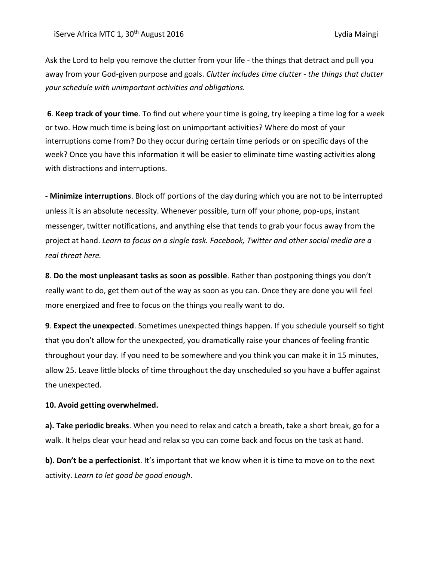Ask the Lord to help you remove the clutter from your life - the things that detract and pull you away from your God-given purpose and goals. *Clutter includes time clutter - the things that clutter your schedule with unimportant activities and obligations.*

**6**. **Keep track of your time**. To find out where your time is going, try keeping a time log for a week or two. How much time is being lost on unimportant activities? Where do most of your interruptions come from? Do they occur during certain time periods or on specific days of the week? Once you have this information it will be easier to eliminate time wasting activities along with distractions and interruptions.

**- Minimize interruptions**. Block off portions of the day during which you are not to be interrupted unless it is an absolute necessity. Whenever possible, turn off your phone, pop-ups, instant messenger, twitter notifications, and anything else that tends to grab your focus away from the project at hand. *Learn to focus on a single task. Facebook, Twitter and other social media are a real threat here.*

**8**. **Do the most unpleasant tasks as soon as possible**. Rather than postponing things you don't really want to do, get them out of the way as soon as you can. Once they are done you will feel more energized and free to focus on the things you really want to do.

**9**. **Expect the unexpected**. Sometimes unexpected things happen. If you schedule yourself so tight that you don't allow for the unexpected, you dramatically raise your chances of feeling frantic throughout your day. If you need to be somewhere and you think you can make it in 15 minutes, allow 25. Leave little blocks of time throughout the day unscheduled so you have a buffer against the unexpected.

#### **10. Avoid getting overwhelmed.**

**a). Take periodic breaks**. When you need to relax and catch a breath, take a short break, go for a walk. It helps clear your head and relax so you can come back and focus on the task at hand.

**b). Don't be a perfectionist**. It's important that we know when it is time to move on to the next activity. *Learn to let good be good enough*.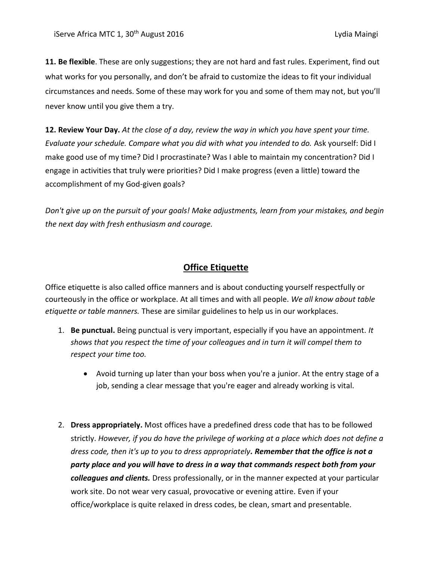**11. Be flexible**. These are only suggestions; they are not hard and fast rules. Experiment, find out what works for you personally, and don't be afraid to customize the ideas to fit your individual circumstances and needs. Some of these may work for you and some of them may not, but you'll never know until you give them a try.

**12. Review Your Day.** *At the close of a day, review the way in which you have spent your time. Evaluate your schedule. Compare what you did with what you intended to do.* Ask yourself: Did I make good use of my time? Did I procrastinate? Was I able to maintain my concentration? Did I engage in activities that truly were priorities? Did I make progress (even a little) toward the accomplishment of my God-given goals?

*Don't give up on the pursuit of your goals! Make adjustments, learn from your mistakes, and begin the next day with fresh enthusiasm and courage.*

# **Office Etiquette**

Office etiquette is also called office manners and is about conducting yourself respectfully or courteously in the office or workplace. At all times and with all people. *We all know about table etiquette or table manners.* These are similar guidelines to help us in our workplaces.

- 1. **[Be punctual.](http://www.wikihow.com/Be-Punctual)** Being punctual is very important, especially if you have an appointment*. It shows that you respect the time of your colleagues and in turn it will compel them to respect your time too.* 
	- Avoid turning up later than your boss when you're a junior. At the entry stage of a job, sending a clear message that you're eager and already working is vital.
- 2. **[Dress appropriately.](http://www.wikihow.com/Buy-an-Office-Wardrobe-on-a-Budget)** Most offices have a predefined dress code that has to be followed strictly. *However, if you do have the privilege of working at a place which does not define a dress code, then it's up to you to dress appropriately. Remember that the office is not a party place and you will have to dress in a way that commands respect both from your colleagues and clients.* Dress professionally, or in the manner expected at your particular work site. Do not wear very casual, provocative or evening attire. Even if your office/workplace is quite relaxed in dress codes, be clean, smart and presentable.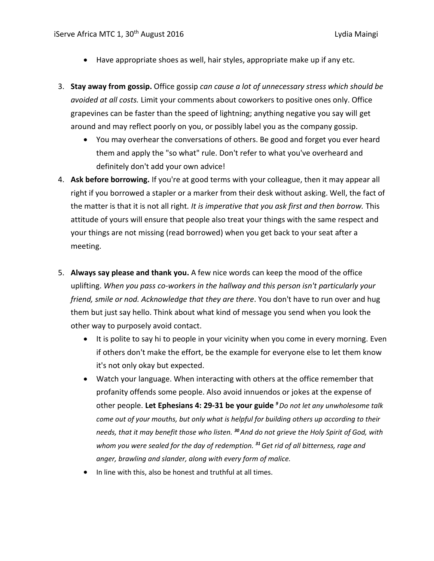- Have appropriate shoes as well, hair styles, appropriate make up if any etc.
- 3. **[Stay away from gossip.](http://www.wikihow.com/Avoid-Gossiping)** Office gossip *can cause a lot of unnecessary stress which should be avoided at all costs.* Limit your comments about [coworkers](http://www.wikihow.com/Ask-a-Coworker-on-a-Date) to positive ones only. Office grapevines can be faster than the speed of lightning; anything negative you say will get around and may reflect poorly on you, or possibly label you as the company gossip.
	- You may overhear the conversations of others. Be good and forget you ever heard them and apply the "so what" rule. Don't refer to what you've overheard and definitely don't add your own advice!
- 4. **Ask before borrowing.** If you're at good terms with your colleague, then it may appear all right if you borrowed a stapler or a marker from their desk without asking. Well, the fact of the matter is that it is not all right*. It is imperative that you ask first and then borrow.* This attitude of yours will ensure that people also treat your things with the same respect and your things are not missing (read borrowed) when you get back to your seat after a meeting.
- 5. **[Always say please and thank you.](http://www.wikihow.com/Be-Polite)** A few nice words can keep the mood of the office uplifting. *When you pass co-workers in the hallway and this person isn't particularly your friend, smile or nod. Acknowledge that they are there*. You don't have to run over and hug them but just say hello. Think about what kind of message you send when you look the other way to purposely avoid contact.
	- It is polite to say hi to people in your vicinity when you come in every morning. Even if others don't make the effort, be the example for everyone else to let them know it's not only okay but expected.
	- Watch your language. When interacting with others at the office remember that profanity offends some people. Also avoid innuendos or jokes at the expense of other people. **Let Ephesians 4: 29-31 be your guide** *<sup>9</sup>Do not let any unwholesome talk come out of your mouths, but only what is helpful for building others up according to their needs, that it may benefit those who listen. <sup>30</sup>And do not grieve the Holy Spirit of God, with whom you were sealed for the day of redemption. <sup>31</sup>Get rid of all bitterness, rage and anger, brawling and slander, along with every form of malice.*
	- In line with this, also be honest and truthful at all times.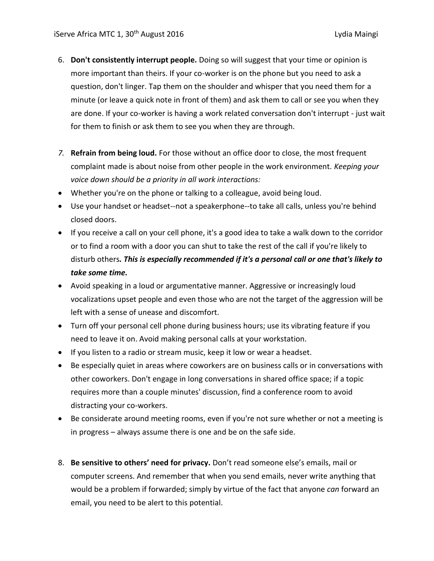- 6. **Don't consistently interrupt people.** Doing so will suggest that your time or opinion is more important than theirs. If your co-worker is on the phone but you need to ask a question, don't linger. Tap them on the shoulder and whisper that you need them for a minute (or leave a quick note in front of them) and ask them to call or see you when they are done. If your co-worker is having a work related conversation don't interrupt - just wait for them to finish or ask them to see you when they are through.
- *7.* **Refrain from being loud.** For those without an office door to close, the most frequent complaint made is about noise from other people in the work environment. *Keeping your voice down should be a priority in all work interactions:*
- Whether you're on the phone or talking to a colleague, avoid being loud.
- Use your handset or headset--not a speakerphone--to take all calls, unless you're behind closed doors.
- If you receive a call on your cell phone, it's a good idea to take a walk down to the corridor or to find a room with a door you can shut to take the rest of the call if you're likely to disturb others*. This is especially recommended if it's a personal call or one that's likely to take some time.*
- Avoid speaking in a loud or argumentative manner. Aggressive or increasingly loud vocalizations upset people and even those who are not the target of the aggression will be left with a sense of unease and discomfort.
- Turn off your personal cell phone during business hours; use its vibrating feature if you need to leave it on. Avoid making personal calls at your workstation.
- If you listen to a radio or stream music, keep it low or wear a headset.
- Be especially quiet in areas where coworkers are on business calls or in conversations with other coworkers. Don't engage in long conversations in shared office space; if a topic requires more than a couple minutes' discussion, find a conference room to avoid distracting your co-workers.
- Be considerate around meeting rooms, even if you're not sure whether or not a meeting is in progress – always assume there is one and be on the safe side.
- 8. **Be sensitive to others' need for privacy.** Don't read someone else's emails, mail or computer screens. And remember that when you send emails, never write anything that would be a problem if forwarded; simply by virtue of the fact that anyone *can* forward an email, you need to be alert to this potential.